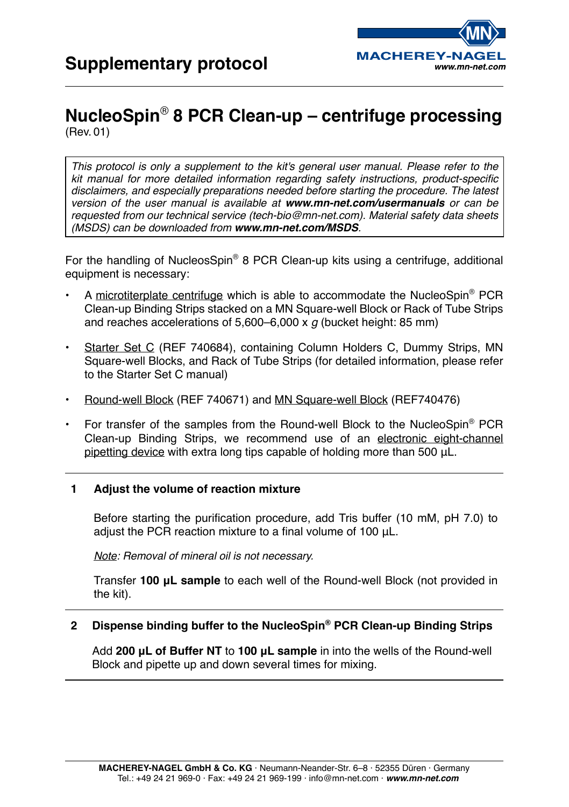

# **NucleoSpin**® **8 PCR Clean-up – centrifuge processing** (Rev. 01)

*This protocol is only a supplement to the kit's general user manual. Please refer to the*  kit manual for more detailed information regarding safety instructions, product-specific *disclaimers, and especially preparations needed before starting the procedure. The latest version of the user manual is available at www.mn-net.com/usermanuals or can be requested from our technical service (tech-bio@mn-net.com). Material safety data sheets (MSDS) can be downloaded from www.mn-net.com/MSDS.*

For the handling of NucleosSpin® 8 PCR Clean-up kits using a centrifuge, additional equipment is necessary:

- A microtiterplate centrifuge which is able to accommodate the NucleoSpin<sup>®</sup> PCR Clean-up Binding Strips stacked on a MN Square-well Block or Rack of Tube Strips and reaches accelerations of 5,600–6,000 x *g* (bucket height: 85 mm)
- Starter Set C (REF 740684), containing Column Holders C, Dummy Strips, MN Square-well Blocks, and Rack of Tube Strips (for detailed information, please refer to the Starter Set C manual)
- Round-well Block (REF 740671) and MN Square-well Block (REF740476)
- For transfer of the samples from the Round-well Block to the NucleoSpin® PCR Clean-up Binding Strips, we recommend use of an electronic eight-channel pipetting device with extra long tips capable of holding more than 500 μL.

#### **1 Adjust the volume of reaction mixture**

Before starting the purification procedure, add Tris buffer (10 mM, pH 7.0) to adjust the PCR reaction mixture to a final volume of 100 μL.

*Note: Removal of mineral oil is not necessary.*

Transfer **100 μL sample** to each well of the Round-well Block (not provided in the kit).

#### **2 Dispense binding buffer to the NucleoSpin® PCR Clean-up Binding Strips**

Add **200 μL of Buffer NT** to **100 μL sample** in into the wells of the Round-well Block and pipette up and down several times for mixing.